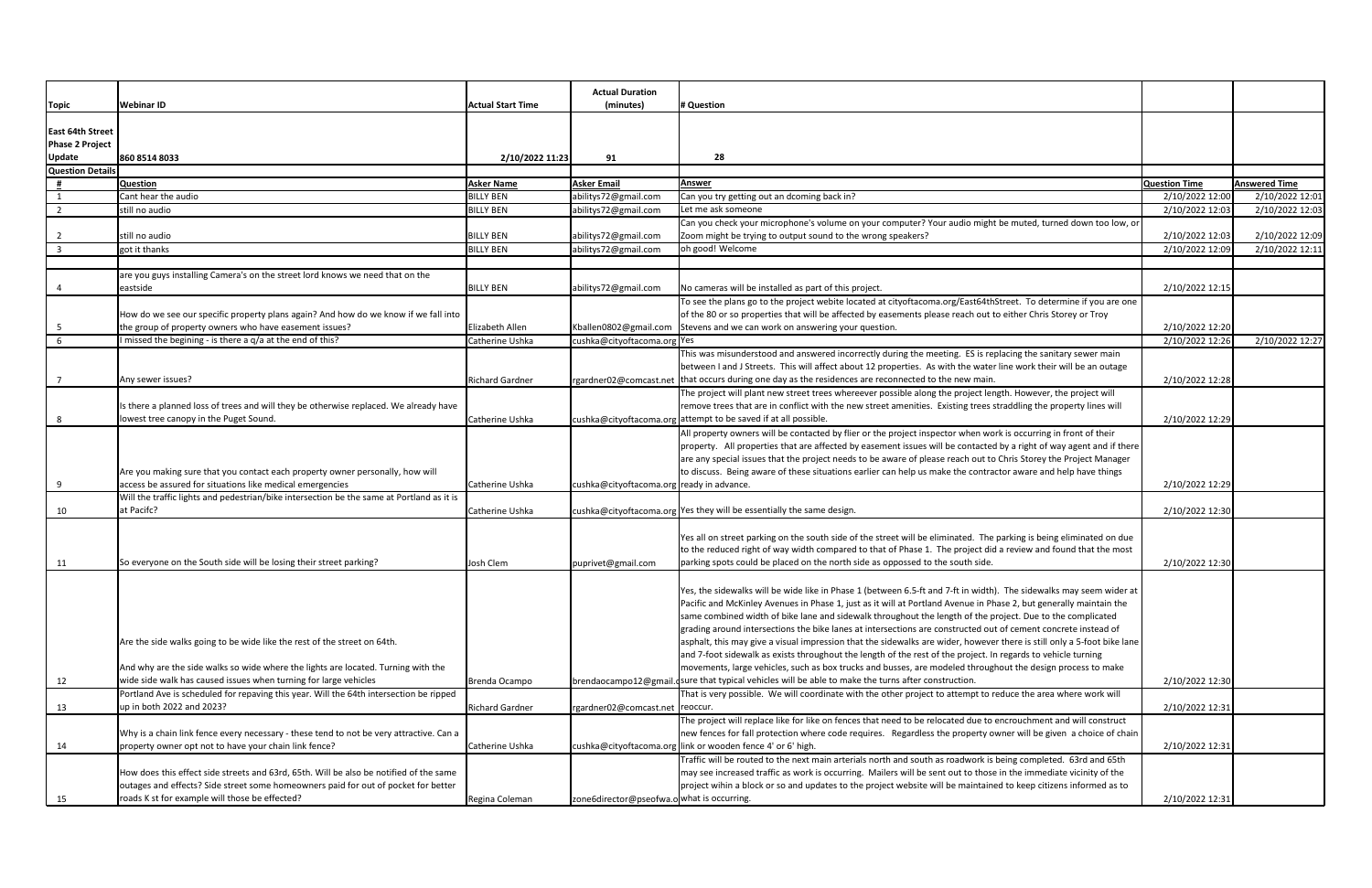|                                   |                                                                                                                     |                          | <b>Actual Duration</b>                     |                                                                                                                                                                                                                                           |                      |                      |
|-----------------------------------|---------------------------------------------------------------------------------------------------------------------|--------------------------|--------------------------------------------|-------------------------------------------------------------------------------------------------------------------------------------------------------------------------------------------------------------------------------------------|----------------------|----------------------|
| Topic                             | <b>Webinar ID</b>                                                                                                   | <b>Actual Start Time</b> | (minutes)                                  | # Question                                                                                                                                                                                                                                |                      |                      |
|                                   |                                                                                                                     |                          |                                            |                                                                                                                                                                                                                                           |                      |                      |
| <b>East 64th Street</b>           |                                                                                                                     |                          |                                            |                                                                                                                                                                                                                                           |                      |                      |
| <b>Phase 2 Project</b>            |                                                                                                                     |                          |                                            |                                                                                                                                                                                                                                           |                      |                      |
| <b>Update</b><br>Question Details | 860 8514 8033                                                                                                       | 2/10/2022 11:23          | 91                                         | 28                                                                                                                                                                                                                                        |                      |                      |
|                                   | <b>Question</b>                                                                                                     | <b>Asker Name</b>        | <b>Asker Email</b>                         | <b>Answer</b>                                                                                                                                                                                                                             | <b>Question Time</b> | <b>Answered Time</b> |
|                                   | Cant hear the audio                                                                                                 | <b>BILLY BEN</b>         | abilitys72@gmail.com                       | Can you try getting out an dcoming back in?                                                                                                                                                                                               | 2/10/2022 12:00      | 2/10/2022 12:01      |
| $\overline{2}$                    | still no audio                                                                                                      | <b>BILLY BEN</b>         | abilitys72@gmail.com                       | Let me ask someone                                                                                                                                                                                                                        | 2/10/2022 12:03      | 2/10/2022 12:03      |
|                                   |                                                                                                                     |                          |                                            | Can you check your microphone's volume on your computer? Your audio might be muted, turned down too low, or                                                                                                                               |                      |                      |
| $\overline{2}$                    | still no audio                                                                                                      | <b>BILLY BEN</b>         | abilitys72@gmail.com                       | Zoom might be trying to output sound to the wrong speakers?                                                                                                                                                                               | 2/10/2022 12:03      | 2/10/2022 12:09      |
| $\overline{\mathbf{3}}$           | got it thanks                                                                                                       | <b>BILLY BEN</b>         | abilitys72@gmail.com                       | oh good! Welcome                                                                                                                                                                                                                          | 2/10/2022 12:09      | 2/10/2022 12:11      |
|                                   |                                                                                                                     |                          |                                            |                                                                                                                                                                                                                                           |                      |                      |
|                                   | are you guys installing Camera's on the street lord knows we need that on the                                       |                          |                                            |                                                                                                                                                                                                                                           |                      |                      |
|                                   | eastside                                                                                                            | <b>BILLY BEN</b>         | abilitys72@gmail.com                       | No cameras will be installed as part of this project.                                                                                                                                                                                     | 2/10/2022 12:15      |                      |
|                                   |                                                                                                                     |                          |                                            | To see the plans go to the project webite located at cityoftacoma.org/East64thStreet. To determine if you are one                                                                                                                         |                      |                      |
|                                   | How do we see our specific property plans again? And how do we know if we fall into                                 |                          |                                            | of the 80 or so properties that will be affected by easements please reach out to either Chris Storey or Troy                                                                                                                             |                      |                      |
|                                   | the group of property owners who have easement issues?                                                              | Elizabeth Allen          | Kballen0802@gmail.com                      | Stevens and we can work on answering your question.                                                                                                                                                                                       | 2/10/2022 12:20      |                      |
| 6                                 | I missed the begining - is there a q/a at the end of this?                                                          | Catherine Ushka          | cushka@cityoftacoma.org Yes                |                                                                                                                                                                                                                                           | 2/10/2022 12:26      | 2/10/2022 12:27      |
|                                   |                                                                                                                     |                          |                                            | This was misunderstood and answered incorrectly during the meeting. ES is replacing the sanitary sewer main                                                                                                                               |                      |                      |
|                                   |                                                                                                                     |                          |                                            | between I and J Streets. This will affect about 12 properties. As with the water line work their will be an outage                                                                                                                        |                      |                      |
|                                   | Any sewer issues?                                                                                                   | <b>Richard Gardner</b>   |                                            | rgardner02@comcast.net   that occurs during one day as the residences are reconnected to the new main.                                                                                                                                    | 2/10/2022 12:28      |                      |
|                                   |                                                                                                                     |                          |                                            | The project will plant new street trees whereever possible along the project length. However, the project will                                                                                                                            |                      |                      |
|                                   | Is there a planned loss of trees and will they be otherwise replaced. We already have                               |                          |                                            | remove trees that are in conflict with the new street amenities. Existing trees straddling the property lines will                                                                                                                        |                      |                      |
|                                   | lowest tree canopy in the Puget Sound.                                                                              | Catherine Ushka          |                                            | cushka@cityoftacoma.org attempt to be saved if at all possible.                                                                                                                                                                           | 2/10/2022 12:29      |                      |
|                                   |                                                                                                                     |                          |                                            | All property owners will be contacted by flier or the project inspector when work is occurring in front of their                                                                                                                          |                      |                      |
|                                   |                                                                                                                     |                          |                                            | property. All properties that are affected by easement issues will be contacted by a right of way agent and if there<br>are any special issues that the project needs to be aware of please reach out to Chris Storey the Project Manager |                      |                      |
|                                   | Are you making sure that you contact each property owner personally, how will                                       |                          |                                            | to discuss. Being aware of these situations earlier can help us make the contractor aware and help have things                                                                                                                            |                      |                      |
| -9                                | access be assured for situations like medical emergencies                                                           | Catherine Ushka          | cushka@cityoftacoma.org ready in advance.  |                                                                                                                                                                                                                                           | 2/10/2022 12:29      |                      |
|                                   | Will the traffic lights and pedestrian/bike intersection be the same at Portland as it is                           |                          |                                            |                                                                                                                                                                                                                                           |                      |                      |
| 10                                | at Pacifc?                                                                                                          | Catherine Ushka          |                                            | cushka@cityoftacoma.org Yes they will be essentially the same design.                                                                                                                                                                     | 2/10/2022 12:30      |                      |
|                                   |                                                                                                                     |                          |                                            |                                                                                                                                                                                                                                           |                      |                      |
|                                   |                                                                                                                     |                          |                                            | Yes all on street parking on the south side of the street will be eliminated. The parking is being eliminated on due                                                                                                                      |                      |                      |
|                                   |                                                                                                                     |                          |                                            | to the reduced right of way width compared to that of Phase 1. The project did a review and found that the most                                                                                                                           |                      |                      |
| 11                                | So everyone on the South side will be losing their street parking?                                                  | Josh Clem                | puprivet@gmail.com                         | parking spots could be placed on the north side as oppossed to the south side.                                                                                                                                                            | 2/10/2022 12:30      |                      |
|                                   |                                                                                                                     |                          |                                            |                                                                                                                                                                                                                                           |                      |                      |
|                                   |                                                                                                                     |                          |                                            | Yes, the sidewalks will be wide like in Phase 1 (between 6.5-ft and 7-ft in width). The sidewalks may seem wider at                                                                                                                       |                      |                      |
|                                   |                                                                                                                     |                          |                                            | Pacific and McKinley Avenues in Phase 1, just as it will at Portland Avenue in Phase 2, but generally maintain the                                                                                                                        |                      |                      |
|                                   |                                                                                                                     |                          |                                            | same combined width of bike lane and sidewalk throughout the length of the project. Due to the complicated                                                                                                                                |                      |                      |
|                                   |                                                                                                                     |                          |                                            | grading around intersections the bike lanes at intersections are constructed out of cement concrete instead of                                                                                                                            |                      |                      |
|                                   | Are the side walks going to be wide like the rest of the street on 64th.                                            |                          |                                            | asphalt, this may give a visual impression that the sidewalks are wider, however there is still only a 5-foot bike lane                                                                                                                   |                      |                      |
|                                   |                                                                                                                     |                          |                                            | and 7-foot sidewalk as exists throughout the length of the rest of the project. In regards to vehicle turning                                                                                                                             |                      |                      |
|                                   | And why are the side walks so wide where the lights are located. Turning with the                                   |                          |                                            | movements, large vehicles, such as box trucks and busses, are modeled throughout the design process to make                                                                                                                               |                      |                      |
| 12                                | wide side walk has caused issues when turning for large vehicles                                                    | Brenda Ocampo            |                                            | brendaocampo12@gmail. sure that typical vehicles will be able to make the turns after construction.<br>That is very possible. We will coordinate with the other project to attempt to reduce the area where work will                     | 2/10/2022 12:30      |                      |
| 13                                | Portland Ave is scheduled for repaving this year. Will the 64th intersection be ripped<br>up in both 2022 and 2023? | <b>Richard Gardner</b>   | rgardner02@comcast.net   reoccur.          |                                                                                                                                                                                                                                           | 2/10/2022 12:31      |                      |
|                                   |                                                                                                                     |                          |                                            | The project will replace like for like on fences that need to be relocated due to encrouchment and will construct                                                                                                                         |                      |                      |
|                                   | Why is a chain link fence every necessary - these tend to not be very attractive. Can a                             |                          |                                            | new fences for fall protection where code requires. Regardless the property owner will be given a choice of chain                                                                                                                         |                      |                      |
| 14                                | property owner opt not to have your chain link fence?                                                               | Catherine Ushka          |                                            | cushka@cityoftacoma.org link or wooden fence 4' or 6' high.                                                                                                                                                                               | 2/10/2022 12:31      |                      |
|                                   |                                                                                                                     |                          |                                            | Traffic will be routed to the next main arterials north and south as roadwork is being completed. 63rd and 65th                                                                                                                           |                      |                      |
|                                   | How does this effect side streets and 63rd, 65th. Will be also be notified of the same                              |                          |                                            | may see increased traffic as work is occurring. Mailers will be sent out to those in the immediate vicinity of the                                                                                                                        |                      |                      |
|                                   | outages and effects? Side street some homeowners paid for out of pocket for better                                  |                          |                                            | project wihin a block or so and updates to the project website will be maintained to keep citizens informed as to                                                                                                                         |                      |                      |
| 15                                | roads K st for example will those be effected?                                                                      | Regina Coleman           | zone6director@pseofwa.o what is occurring. |                                                                                                                                                                                                                                           | 2/10/2022 12:31      |                      |